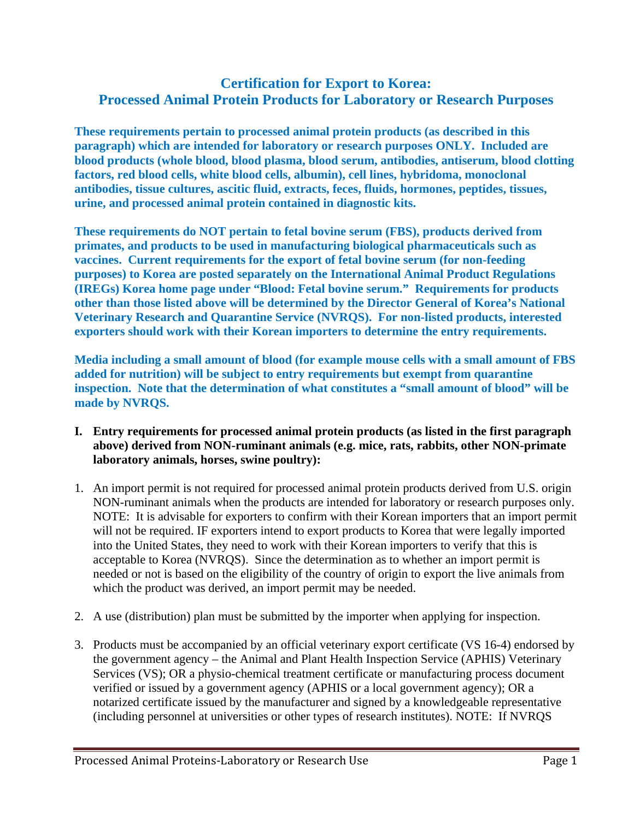## **Certification for Export to Korea: Processed Animal Protein Products for Laboratory or Research Purposes**

**These requirements pertain to processed animal protein products (as described in this paragraph) which are intended for laboratory or research purposes ONLY. Included are blood products (whole blood, blood plasma, blood serum, antibodies, antiserum, blood clotting factors, red blood cells, white blood cells, albumin), cell lines, hybridoma, monoclonal antibodies, tissue cultures, ascitic fluid, extracts, feces, fluids, hormones, peptides, tissues, urine, and processed animal protein contained in diagnostic kits.** 

**These requirements do NOT pertain to fetal bovine serum (FBS), products derived from primates, and products to be used in manufacturing biological pharmaceuticals such as vaccines. Current requirements for the export of fetal bovine serum (for non-feeding purposes) to Korea are posted separately on the International Animal Product Regulations (IREGs) Korea home page under "Blood: Fetal bovine serum." Requirements for products other than those listed above will be determined by the Director General of Korea's National Veterinary Research and Quarantine Service (NVRQS). For non-listed products, interested exporters should work with their Korean importers to determine the entry requirements.** 

**Media including a small amount of blood (for example mouse cells with a small amount of FBS added for nutrition) will be subject to entry requirements but exempt from quarantine inspection. Note that the determination of what constitutes a "small amount of blood" will be made by NVRQS.** 

- **I. Entry requirements for processed animal protein products (as listed in the first paragraph above) derived from NON-ruminant animals (e.g. mice, rats, rabbits, other NON-primate laboratory animals, horses, swine poultry):**
- 1. An import permit is not required for processed animal protein products derived from U.S. origin NON-ruminant animals when the products are intended for laboratory or research purposes only. NOTE: It is advisable for exporters to confirm with their Korean importers that an import permit will not be required. IF exporters intend to export products to Korea that were legally imported into the United States, they need to work with their Korean importers to verify that this is acceptable to Korea (NVRQS). Since the determination as to whether an import permit is needed or not is based on the eligibility of the country of origin to export the live animals from which the product was derived, an import permit may be needed.
- 2. A use (distribution) plan must be submitted by the importer when applying for inspection.
- 3. Products must be accompanied by an official veterinary export certificate (VS 16-4) endorsed by the government agency – the Animal and Plant Health Inspection Service (APHIS) Veterinary Services (VS); OR a physio-chemical treatment certificate or manufacturing process document verified or issued by a government agency (APHIS or a local government agency); OR a notarized certificate issued by the manufacturer and signed by a knowledgeable representative (including personnel at universities or other types of research institutes). NOTE: If NVRQS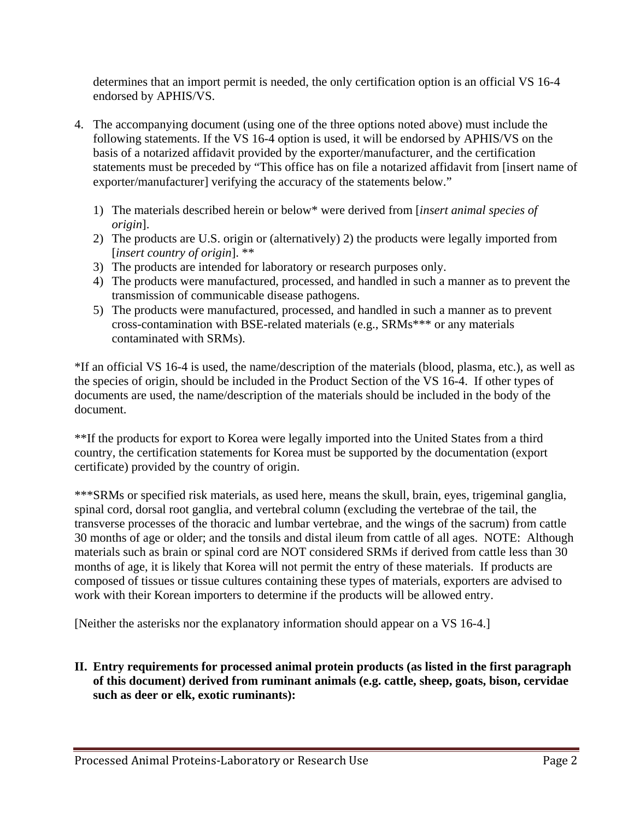determines that an import permit is needed, the only certification option is an official VS 16-4 endorsed by APHIS/VS.

- 4. The accompanying document (using one of the three options noted above) must include the following statements. If the VS 16-4 option is used, it will be endorsed by APHIS/VS on the basis of a notarized affidavit provided by the exporter/manufacturer, and the certification statements must be preceded by "This office has on file a notarized affidavit from [insert name of exporter/manufacturer] verifying the accuracy of the statements below."
	- 1) The materials described herein or below\* were derived from [*insert animal species of origin*].
	- 2) The products are U.S. origin or (alternatively) 2) the products were legally imported from [*insert country of origin*]. \*\*
	- 3) The products are intended for laboratory or research purposes only.
	- 4) The products were manufactured, processed, and handled in such a manner as to prevent the transmission of communicable disease pathogens.
	- 5) The products were manufactured, processed, and handled in such a manner as to prevent cross-contamination with BSE-related materials (e.g., SRMs\*\*\* or any materials contaminated with SRMs).

\*If an official VS 16-4 is used, the name/description of the materials (blood, plasma, etc.), as well as the species of origin, should be included in the Product Section of the VS 16-4. If other types of documents are used, the name/description of the materials should be included in the body of the document.

\*\*If the products for export to Korea were legally imported into the United States from a third country, the certification statements for Korea must be supported by the documentation (export certificate) provided by the country of origin.

\*\*\*SRMs or specified risk materials, as used here, means the skull, brain, eyes, trigeminal ganglia, spinal cord, dorsal root ganglia, and vertebral column (excluding the vertebrae of the tail, the transverse processes of the thoracic and lumbar vertebrae, and the wings of the sacrum) from cattle 30 months of age or older; and the tonsils and distal ileum from cattle of all ages. NOTE: Although materials such as brain or spinal cord are NOT considered SRMs if derived from cattle less than 30 months of age, it is likely that Korea will not permit the entry of these materials. If products are composed of tissues or tissue cultures containing these types of materials, exporters are advised to work with their Korean importers to determine if the products will be allowed entry.

[Neither the asterisks nor the explanatory information should appear on a VS 16-4.]

**II. Entry requirements for processed animal protein products (as listed in the first paragraph of this document) derived from ruminant animals (e.g. cattle, sheep, goats, bison, cervidae such as deer or elk, exotic ruminants):**